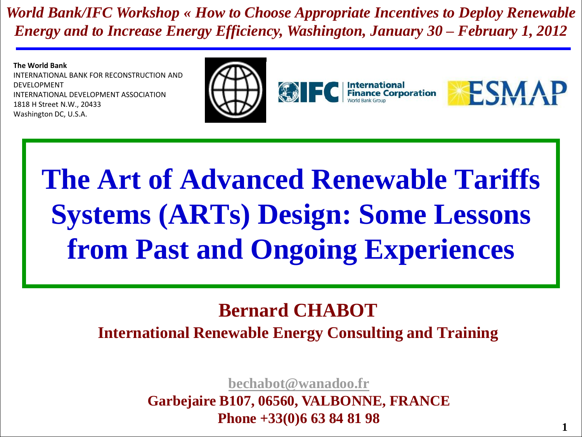*World Bank/IFC Workshop « How to Choose Appropriate Incentives to Deploy Renewable Energy and to Increase Energy Efficiency, Washington, January 30 – February 1, 2012*

**The World Bank**

INTERNATIONAL BANK FOR RECONSTRUCTION AND DEVELOPMENT INTERNATIONAL DEVELOPMENT ASSOCIATION 1818 H Street N.W., 20433 Washington DC, U.S.A.



# **The Art of Advanced Renewable Tariffs Systems (ARTs) Design: Some Lessons from Past and Ongoing Experiences**

#### **Bernard CHABOT International Renewable Energy Consulting and Training**

**[bechabot@wanadoo.fr](mailto:bechabot@wanadoo.fr)**

**Garbejaire B107, 06560, VALBONNE, FRANCE Phone +33(0)6 63 84 81 98**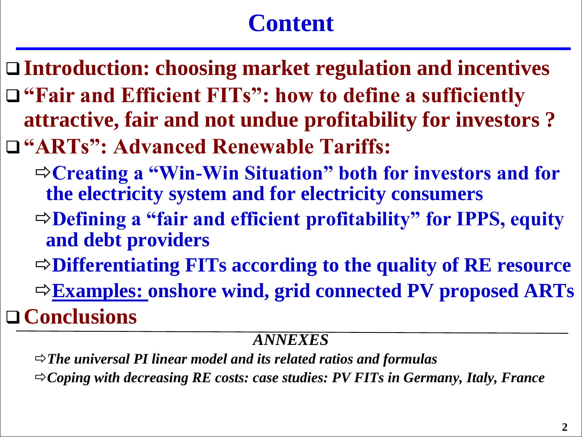## **Content**

- **Introduction: choosing market regulation and incentives "Fair and Efficient FITs": how to define a sufficiently attractive, fair and not undue profitability for investors ?**
- **"ARTs": Advanced Renewable Tariffs:**
	- **Creating a "Win-Win Situation" both for investors and for the electricity system and for electricity consumers**
	- **Defining a "fair and efficient profitability" for IPPS, equity and debt providers**
	- **Differentiating FITs according to the quality of RE resource**
	- **Examples: onshore wind, grid connected PV proposed ARTs**

**Conclusions**

#### *ANNEXES*

*The universal PI linear model and its related ratios and formulas Coping with decreasing RE costs: case studies: PV FITs in Germany, Italy, France*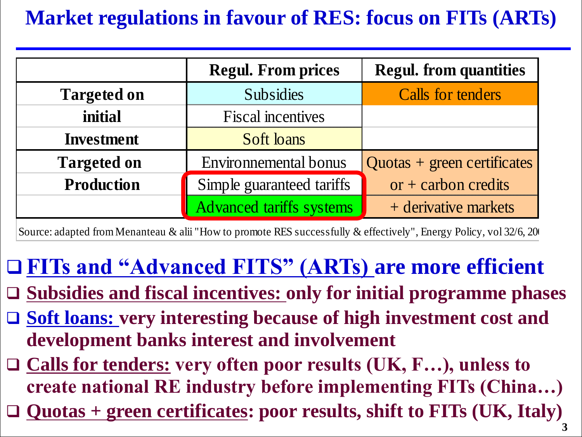#### **Market regulations in favour of RES: focus on FITs (ARTs)**

|                    | <b>Regul. From prices</b> | <b>Regul. from quantities</b> |
|--------------------|---------------------------|-------------------------------|
| <b>Targeted on</b> | <b>Subsidies</b>          | <b>Calls for tenders</b>      |
| initial            | <b>Fiscal incentives</b>  |                               |
| <b>Investment</b>  | <b>Soft loans</b>         |                               |
| <b>Targeted on</b> | Environnemental bonus     | $Quotas + green certificates$ |
| <b>Production</b>  | Simple guaranteed tariffs | $or + carbon\,$               |
|                    | Advanced tariffs systems  | + derivative markets          |

Source: adapted from Menanteau & alii "How to promote RES successfully & effectively", Energy Policy, vol 32/6, 200

# **FITs and "Advanced FITS" (ARTs) are more efficient**

- **Subsidies and fiscal incentives: only for initial programme phases**
- **Soft loans: very interesting because of high investment cost and development banks interest and involvement**
- **Calls for tenders: very often poor results (UK, F…), unless to create national RE industry before implementing FITs (China…)**
- **Quotas + green certificates: poor results, shift to FITs (UK, Italy)**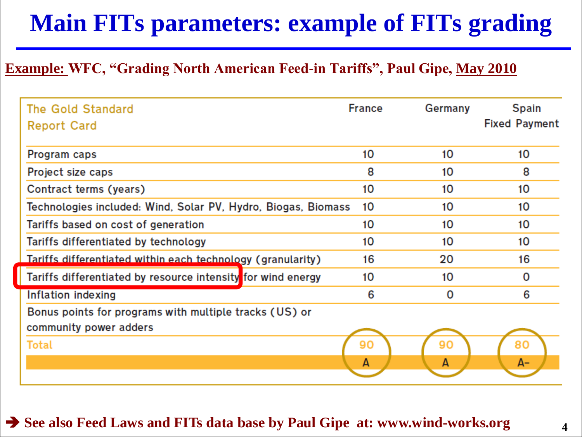## **Main FITs parameters: example of FITs grading**

#### **Example: WFC, "Grading North American Feed-in Tariffs", Paul Gipe, May 2010**

| The Gold Standard<br><b>Report Card</b>                       | <b>France</b> | Germany | <b>Spain</b><br><b>Fixed Payment</b> |
|---------------------------------------------------------------|---------------|---------|--------------------------------------|
| Program caps                                                  | 10            | 10      | 10                                   |
| Project size caps                                             | 8             | 10      | 8                                    |
| Contract terms (years)                                        | 10            | 10      | 10                                   |
| Technologies included: Wind, Solar PV, Hydro, Biogas, Biomass | 10            | 10      | 10                                   |
| Tariffs based on cost of generation                           | 10            | 10      | 10                                   |
| Tariffs differentiated by technology                          | 10            | 10      | 10                                   |
| Tariffs differentiated within each technology (granularity)   | 16            | 20      | 16                                   |
| Tariffs differentiated by resource intensity for wind energy  | 10            | 10      | 0                                    |
| Inflation indexing                                            | 6             | 0       | 6                                    |
| Bonus points for programs with multiple tracks (US) or        |               |         |                                      |
| community power adders                                        |               |         |                                      |
| <b>Total</b>                                                  | 90            | 90      | 80                                   |
|                                                               | A             | А       | A-                                   |

#### **See also Feed Laws and FITs data base by Paul Gipe at: www.wind-works.org**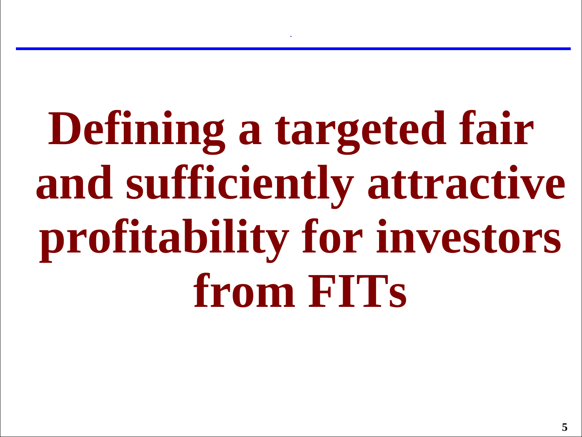# **Defining a targeted fair and sufficiently attractive profitability for investors from FITs**

**.**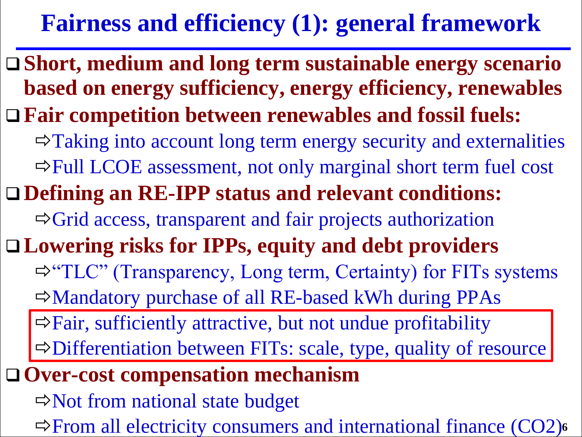## **Fairness and efficiency (1): general framework**

 **Short, medium and long term sustainable energy scenario based on energy sufficiency, energy efficiency, renewables Fair competition between renewables and fossil fuels:**   $\Rightarrow$  Taking into account long term energy security and externalities  $\Rightarrow$  Full LCOE assessment, not only marginal short term fuel cost **Defining an RE-IPP status and relevant conditions:**  $\Rightarrow$  Grid access, transparent and fair projects authorization **Lowering risks for IPPs, equity and debt providers**  $\Rightarrow$  "TLC" (Transparency, Long term, Certainty) for FITs systems  $\Rightarrow$  Mandatory purchase of all RE-based kWh during PPAs  $\Rightarrow$  Fair, sufficiently attractive, but not undue profitability  $\Rightarrow$  Differentiation between FITs: scale, type, quality of resource **Over-cost compensation mechanism** 

 $\Rightarrow$  Not from national state budget

 $\Rightarrow$  **From all electricity consumers and international finance (CO2)<sup>6</sup>**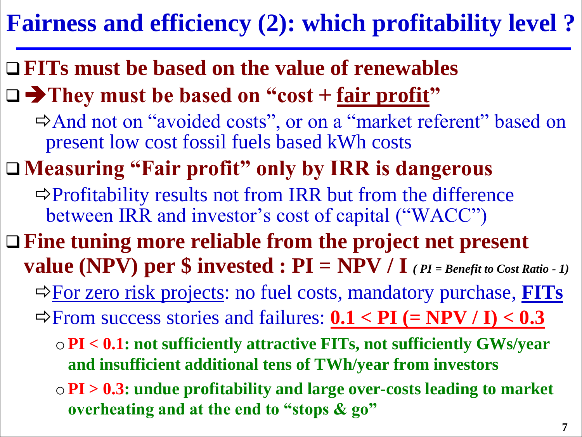## **Fairness and efficiency (2): which profitability level ?**

**FITs must be based on the value of renewables**

□ → They must be based on "cost + <u>fair profit</u>"

And not on "avoided costs", or on a "market referent" based on present low cost fossil fuels based kWh costs

**Measuring "Fair profit" only by IRR is dangerous**

 $\Rightarrow$  Profitability results not from IRR but from the difference between IRR and investor's cost of capital ("WACC")

- **Fine tuning more reliable from the project net present value (NPV) per**  $\oint$  **invested : PI = NPV / I** *(PI = Benefit to Cost Ratio - 1)* 
	- For zero risk projects: no fuel costs, mandatory purchase, **FITs**
	- $\Rightarrow$  From success stories and failures:  $0.1 < PI$  (= NPV / I) <  $0.3$ 
		- o**PI < 0.1: not sufficiently attractive FITs, not sufficiently GWs/year and insufficient additional tens of TWh/year from investors**
		- o**PI > 0.3: undue profitability and large over-costs leading to market overheating and at the end to "stops & go"**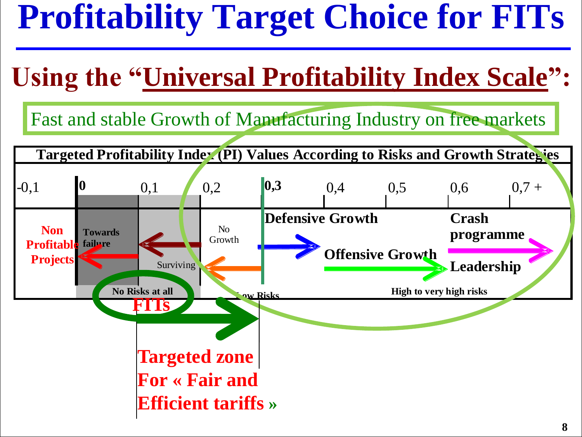# **Profitability Target Choice for FITs**

# **Using the "Universal Profitability Index Scale":**

Fast and stable Growth of Manufacturing Industry on free markets

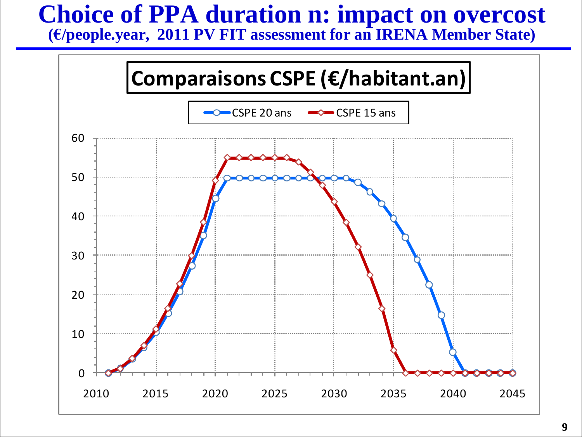# **Choice of PPA duration n: impact on overcost**

**(€/people.year, 2011 PV FIT assessment for an IRENA Member State)**

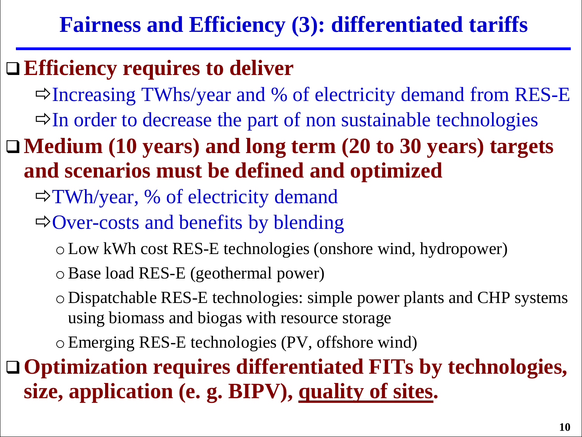**Fairness and Efficiency (3): differentiated tariffs**

#### **Efficiency requires to deliver**

 $\Rightarrow$  Increasing TWhs/year and % of electricity demand from RES-E

 $\Rightarrow$  In order to decrease the part of non sustainable technologies

**Medium (10 years) and long term (20 to 30 years) targets and scenarios must be defined and optimized** 

 $\Rightarrow$ TWh/year, % of electricity demand

 $\Rightarrow$  Over-costs and benefits by blending

oLow kWh cost RES-E technologies (onshore wind, hydropower)

oBase load RES-E (geothermal power)

oDispatchable RES-E technologies: simple power plants and CHP systems using biomass and biogas with resource storage

oEmerging RES-E technologies (PV, offshore wind)

 **Optimization requires differentiated FITs by technologies, size, application (e. g. BIPV), quality of sites.**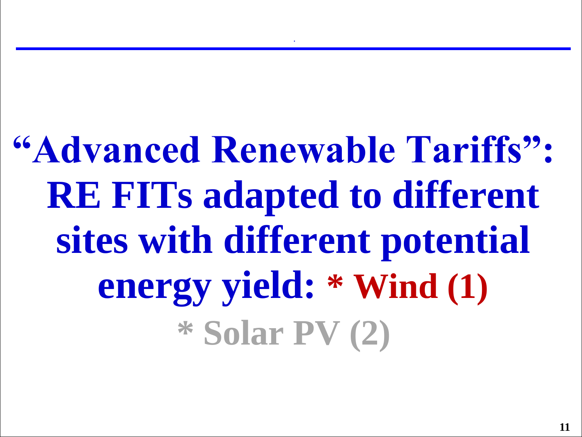# **"Advanced Renewable Tariffs": RE FITs adapted to different sites with different potential energy yield: \* Wind (1) \* Solar PV (2)**

**.**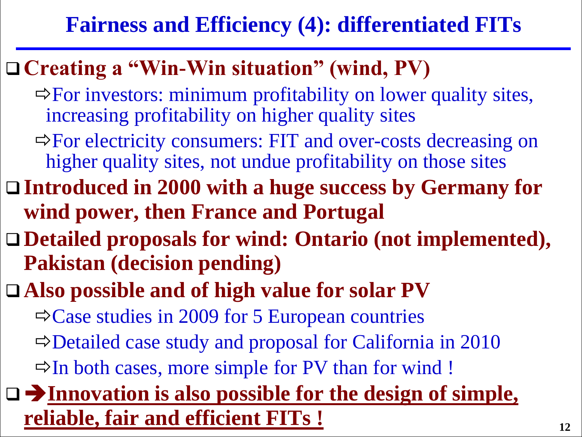### **Fairness and Efficiency (4): differentiated FITs**

### **Creating a "Win-Win situation" (wind, PV)**

- $\Rightarrow$  For investors: minimum profitability on lower quality sites, increasing profitability on higher quality sites
- $\Rightarrow$  For electricity consumers: FIT and over-costs decreasing on higher quality sites, not undue profitability on those sites
- **Introduced in 2000 with a huge success by Germany for wind power, then France and Portugal**
- **Detailed proposals for wind: Ontario (not implemented), Pakistan (decision pending)**
- **Also possible and of high value for solar PV**
	- $\Rightarrow$  Case studies in 2009 for 5 European countries
	- $\Rightarrow$  Detailed case study and proposal for California in 2010
	- $\Rightarrow$  In both cases, more simple for PV than for wind !

#### **Innovation is also possible for the design of simple, reliable, fair and efficient FITs !**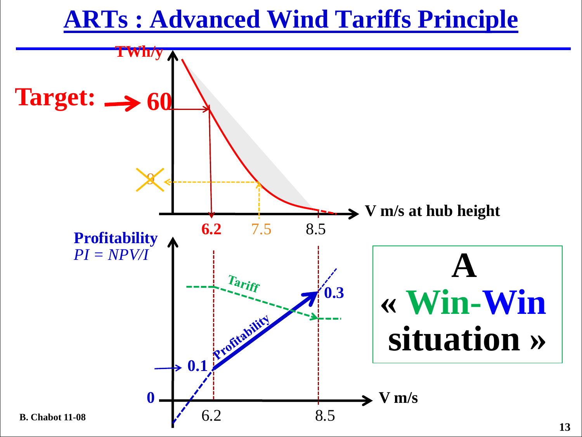## **ARTs : Advanced Wind Tariffs Principle**

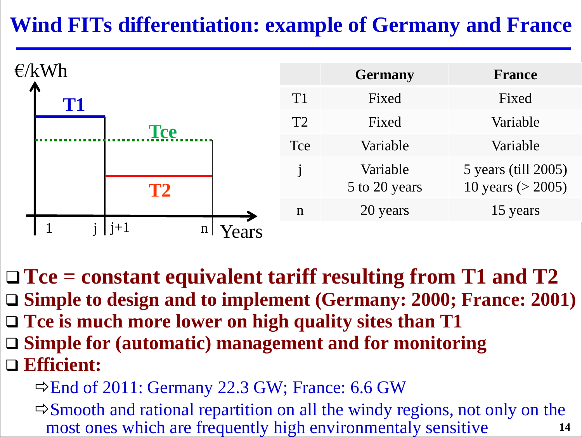### **Wind FITs differentiation: example of Germany and France**



 **Tce = constant equivalent tariff resulting from T1 and T2 Simple to design and to implement (Germany: 2000; France: 2001)** □ Tce is much more lower on high quality sites than T1 **Simple for (automatic) management and for monitoring**

- **Efficient:** 
	- $\Rightarrow$  End of 2011: Germany 22.3 GW; France: 6.6 GW
	- **14**  $\Rightarrow$  Smooth and rational repartition on all the windy regions, not only on the most ones which are frequently high environmentaly sensitive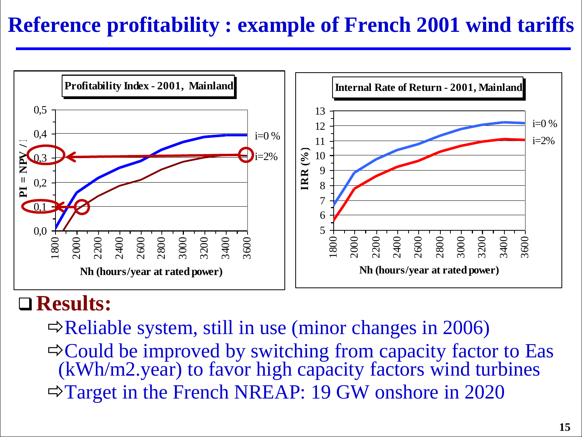#### **Reference profitability : example of French 2001 wind tariffs**



#### **Results:**

 $\Rightarrow$  Reliable system, still in use (minor changes in 2006)  $\Rightarrow$  Could be improved by switching from capacity factor to Eas (kWh/m2.year) to favor high capacity factors wind turbines Target in the French NREAP: 19 GW onshore in 2020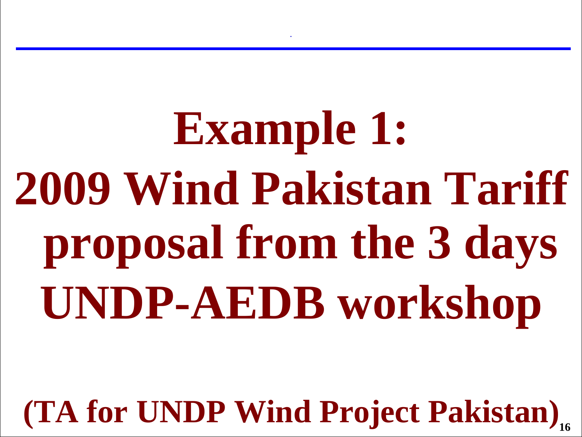**Example 1: 2009 Wind Pakistan Tariff proposal from the 3 days UNDP-AEDB workshop**

**.**

**16 (TA for UNDP Wind Project Pakistan)**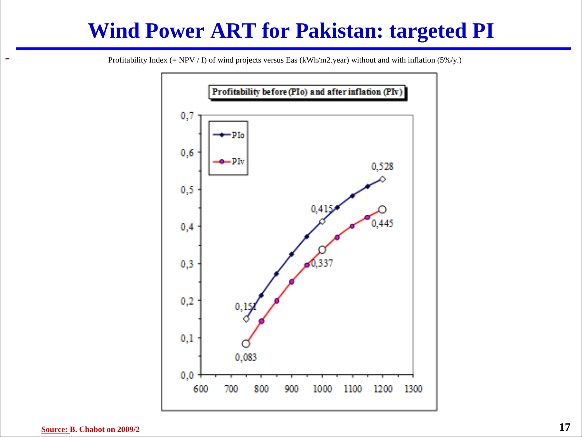#### **Wind Power ART for Pakistan: targeted PI**



**-**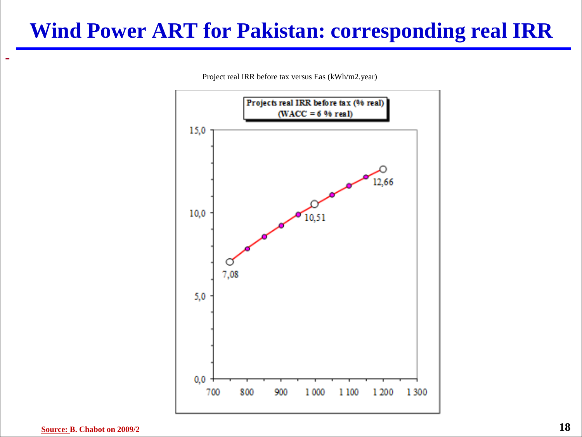#### **Wind Power ART for Pakistan: corresponding real IRR**

Project real IRR before tax versus Eas (kWh/m2.year)

![](_page_17_Figure_2.jpeg)

**-**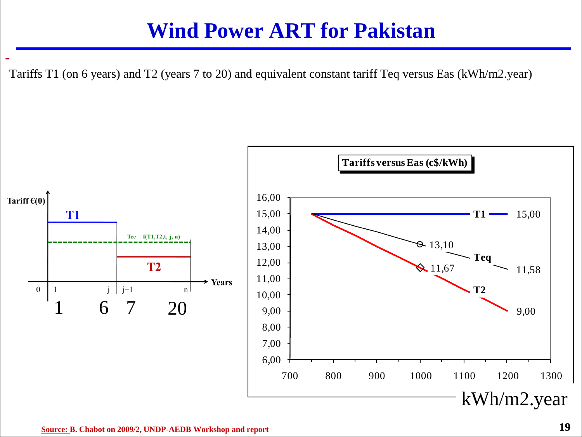#### **Wind Power ART for Pakistan**

Tariffs T1 (on 6 years) and T2 (years 7 to 20) and equivalent constant tariff Teq versus Eas (kWh/m2.year)

![](_page_18_Figure_2.jpeg)

**-**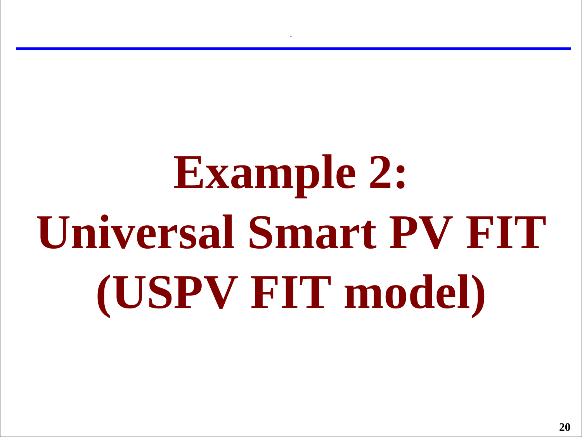# **Example 2: Universal Smart PV FIT (USPV FIT model)**

**.**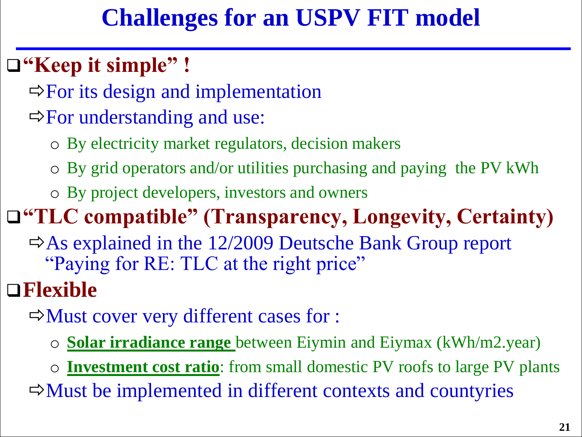## **Challenges for an USPV FIT model**

## **"Keep it simple" !**

 $\Rightarrow$  For its design and implementation

- $\Rightarrow$  For understanding and use:
	- o By electricity market regulators, decision makers
	- o By grid operators and/or utilities purchasing and paying the PV kWh
	- o By project developers, investors and owners

### **"TLC compatible" (Transparency, Longevity, Certainty)**

 $\Rightarrow$  As explained in the 12/2009 Deutsche Bank Group report "Paying for RE: TLC at the right price"

## **Flexible**

 $\Rightarrow$  Must cover very different cases for :

- o **Solar irradiance range** between Eiymin and Eiymax (kWh/m2.year)
- o **Investment cost ratio**: from small domestic PV roofs to large PV plants

 $\Rightarrow$  Must be implemented in different contexts and countyries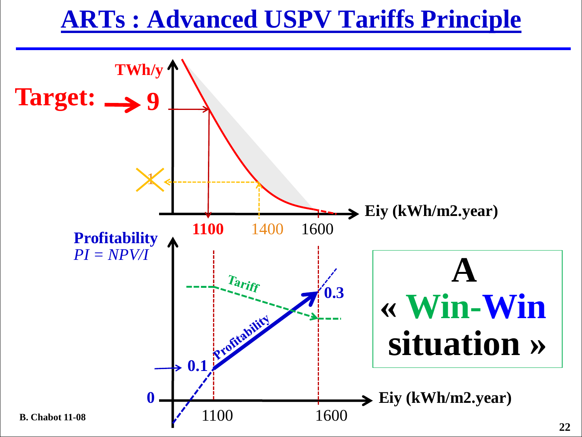## **ARTs : Advanced USPV Tariffs Principle**

![](_page_21_Figure_1.jpeg)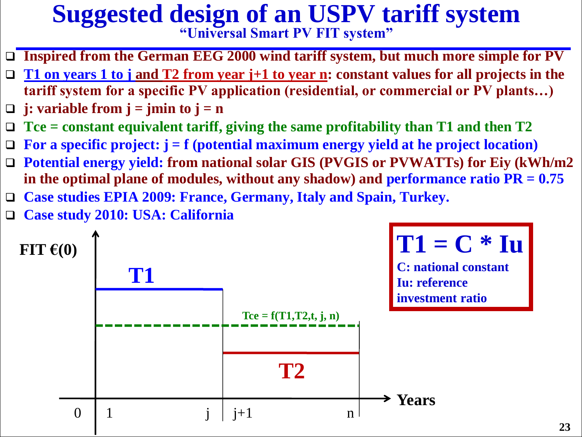## **Suggested design of an USPV tariff system**

**"Universal Smart PV FIT system"**

- **Inspired from the German EEG 2000 wind tariff system, but much more simple for PV**
- **T1 on years 1 to j and T2 from year j+1 to year n: constant values for all projects in the tariff system for a specific PV application (residential, or commercial or PV plants…)**
- $\Box$  **j: variable from j = jmin to j = n**
- **Tce = constant equivalent tariff, giving the same profitability than T1 and then T2**
- **For a specific project: j = f (potential maximum energy yield at he project location)**
- **Potential energy yield: from national solar GIS (PVGIS or PVWATTs) for Eiy (kWh/m2**  in the optimal plane of modules, without any shadow) and performance ratio  $PR = 0.75$
- **Case studies EPIA 2009: France, Germany, Italy and Spain, Turkey.**
- **Case study 2010: USA: California**

![](_page_22_Figure_10.jpeg)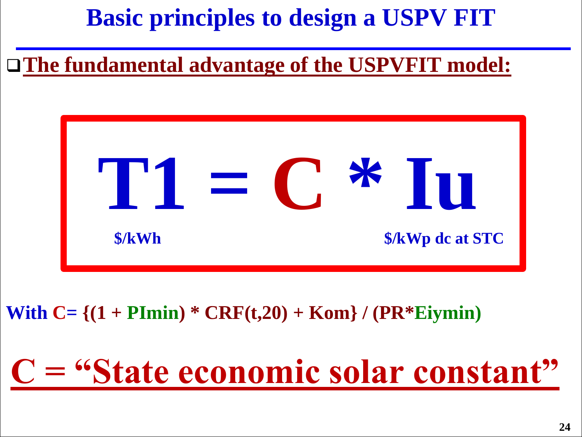## **Basic principles to design a USPV FIT**

#### **The fundamental advantage of the USPVFIT model:**

![](_page_23_Figure_2.jpeg)

#### **With C= {(1 + PImin) \* CRF(t,20) + Kom} / (PR\*Eiymin)**

# **C = "State economic solar constant"**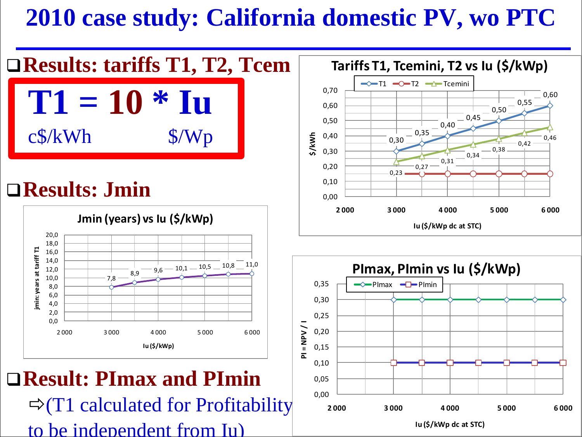## **2010 case study: California domestic PV, wo PTC**

![](_page_24_Figure_1.jpeg)

**Iu (\$/kWp dc at STC)**

to be independent from Iu)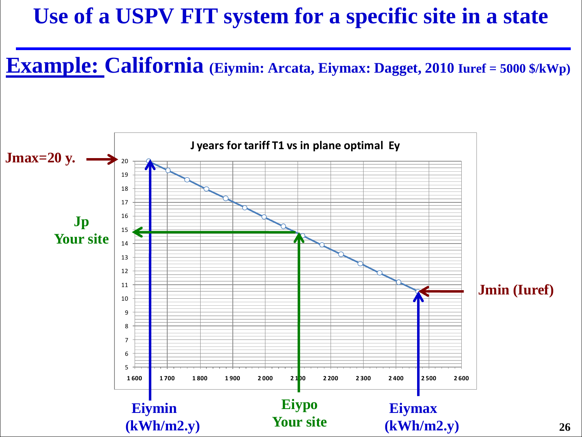#### **Use of a USPV FIT system for a specific site in a state**

**Example: California (Eiymin: Arcata, Eiymax: Dagget, 2010 Iuref = 5000 \$/kWp)**

![](_page_25_Figure_2.jpeg)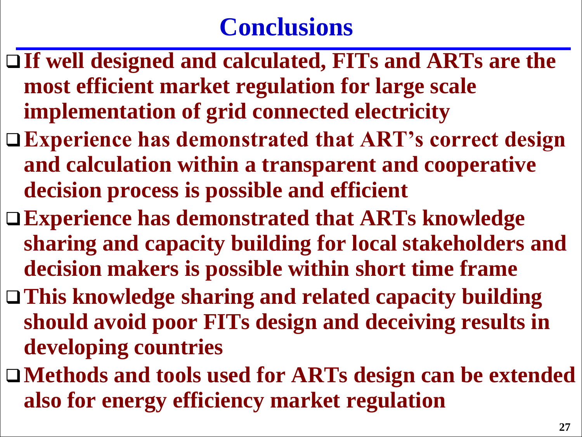- **If well designed and calculated, FITs and ARTs are the most efficient market regulation for large scale implementation of grid connected electricity**
- **Experience has demonstrated that ART's correct design and calculation within a transparent and cooperative decision process is possible and efficient**
- **Experience has demonstrated that ARTs knowledge sharing and capacity building for local stakeholders and decision makers is possible within short time frame**
- **This knowledge sharing and related capacity building should avoid poor FITs design and deceiving results in developing countries**
- **Methods and tools used for ARTs design can be extended also for energy efficiency market regulation**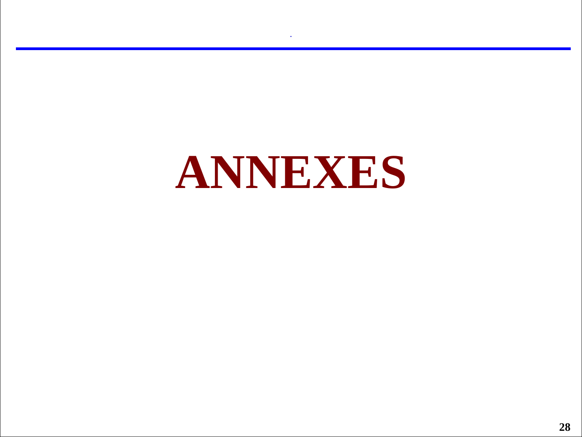# **ANNEXES**

**.**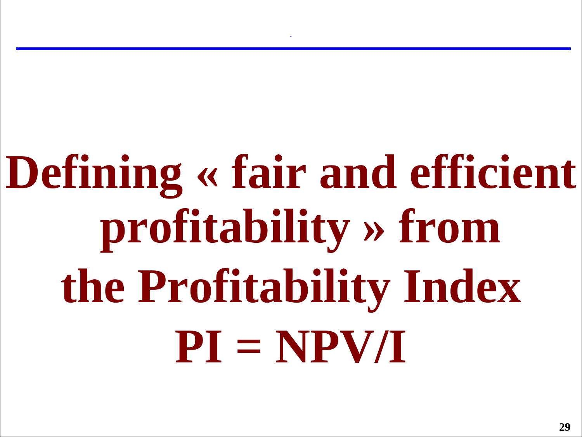# **Defining « fair and efficient profitability » from the Profitability Index PI = NPV/I**

**.**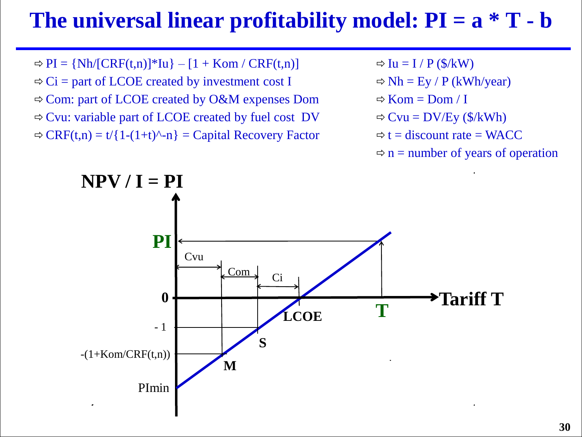#### The universal linear profitability model:  $PI = a * T - b$

 $\Rightarrow PI = \{Nh/[CRF(t,n)]^*Iu\} - [1 + Kom / CRF(t,n)]$  $\Rightarrow$  Ci = part of LCOE created by investment cost I Com: part of LCOE created by O&M expenses Dom  $\Rightarrow$  Cvu: variable part of LCOE created by fuel cost DV  $\Rightarrow$  CRF(t,n) = t/{1-(1+t)^-n} = Capital Recovery Factor

- $\Rightarrow$  Iu = I / P (\$/kW)
- $\Rightarrow$  Nh = Ey / P (kWh/year)
- $\Rightarrow$  Kom = Dom / I
- $\Rightarrow$  Cvu = DV/Ey (\$/kWh)
- $\Rightarrow$  t = discount rate = WACC
- $\Rightarrow$  n = number of years of operation

![](_page_29_Figure_8.jpeg)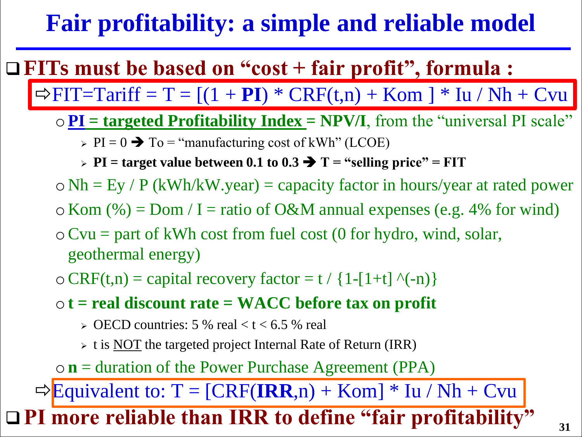## **Fair profitability: a simple and reliable model**

### **FITs must be based on "cost + fair profit", formula :**

 $\Rightarrow$  FIT=Tariff = T = [(1 + **PI**)  $*$  CRF(t,n) + Kom ]  $*$  Iu / Nh + Cvu

- $\circ$  **PI** = targeted Profitability Index = NPV/I, from the "universal PI scale"
	- $\triangleright$  PI = 0  $\rightarrow$  To = "manufacturing cost of kWh" (LCOE)
	- $\triangleright$  PI = target value between 0.1 to 0.3  $\rightarrow$  T = "selling price" = FIT
- $\circ$  Nh = Ey / P (kWh/kW.year) = capacity factor in hours/year at rated power
- $\circ$  Kom (%) = Dom / I = ratio of O&M annual expenses (e.g. 4% for wind)
- $\circ$  Cvu = part of kWh cost from fuel cost (0 for hydro, wind, solar, geothermal energy)
- $\circ$  CRF(t,n) = capital recovery factor = t / {1-[1+t] ^(-n)}
- o**t = real discount rate = WACC before tax on profit** 
	- $\geq$  OECD countries: 5 % real < t < 6.5 % real
	- $\triangleright$  t is NOT the targeted project Internal Rate of Return (IRR)

o**n** = duration of the Power Purchase Agreement (PPA)

 $\Rightarrow$  Equivalent to:  $T = [CRF(IRR, n) + Kom] * Iu / Nh + Cvu$ 

**PI more reliable than IRR to define "fair profitability"**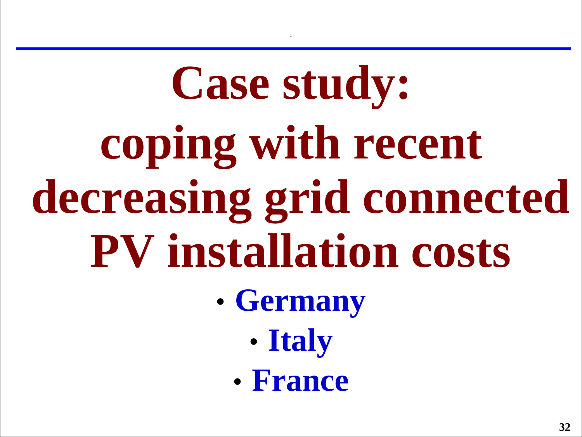# **Case study: coping with recent decreasing grid connected PV installation costs**

**.**

- **Germany**
	- **Italy**
	- **France**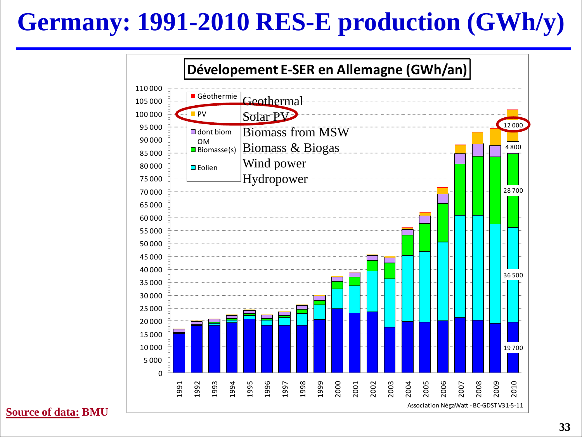# **Germany: 1991-2010 RES-E production (GWh/y)**

![](_page_32_Figure_1.jpeg)

**Source of data: BMU**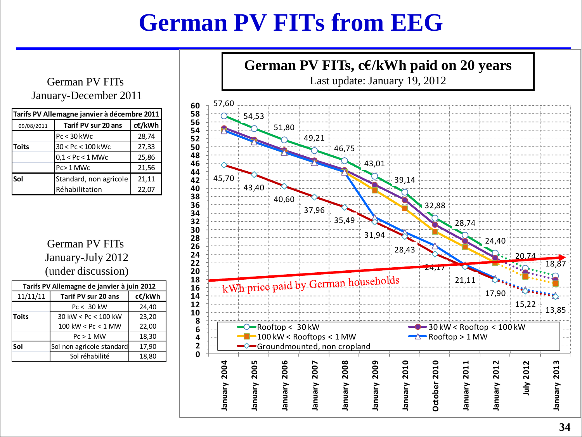## **German PV FITs from EEG**

#### German PV FITs January-December 2011

| Tarifs PV Allemagne janvier à décembre 2011               |                        |        |  |  |
|-----------------------------------------------------------|------------------------|--------|--|--|
| 09/08/2011                                                | Tarif PV sur 20 ans    | c€/kWh |  |  |
|                                                           | Pc < 30 kWc            | 28,74  |  |  |
| <b>Toits</b>                                              | $30 < Pc < 100$ kWc    | 27,33  |  |  |
|                                                           | $0.1 <$ Pc $<$ 1 MWc   | 25,86  |  |  |
|                                                           | Pc>1 MWc               | 21,56  |  |  |
| Sol                                                       | Standard, non agricole | 21,11  |  |  |
|                                                           | Réhabilitation         | 22,07  |  |  |
| German PV FITs<br>January-July 2012<br>(under discussion) |                        |        |  |  |
| Tarifs PV Allemagne de janvier à juin 2012                |                        |        |  |  |

German PV FITs January-July 2012 (under discussion)

| Tarifs PV Allemagne de janvier à juin 2012 |                           |        |  |
|--------------------------------------------|---------------------------|--------|--|
| 11/11/11                                   | Tarif PV sur 20 ans       | c€/kWh |  |
|                                            | $Pc < 30$ kW              | 24,40  |  |
| <b>Toits</b>                               | 30 kW < Pc < 100 kW       | 23,20  |  |
|                                            | 100 kW < $PC < 1$ MW      | 22,00  |  |
|                                            | $PC > 1$ MW               | 18,30  |  |
| Sol                                        | Sol non agricole standard | 17,90  |  |
|                                            | Sol réhabilité            | 18,80  |  |

![](_page_33_Figure_5.jpeg)

**German PV FITs, c€/kWh paid on 20 years**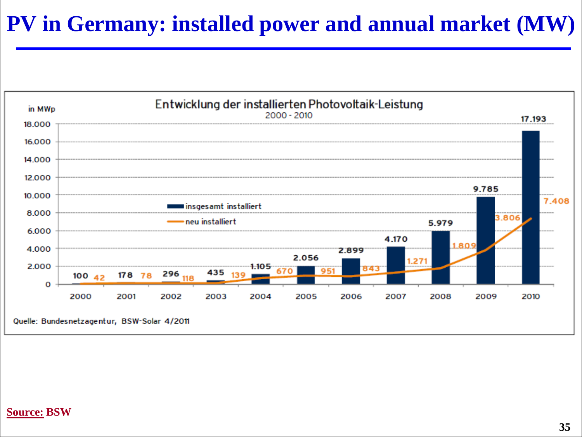#### **PV in Germany: installed power and annual market (MW)**

![](_page_34_Figure_1.jpeg)

#### **Source: BSW**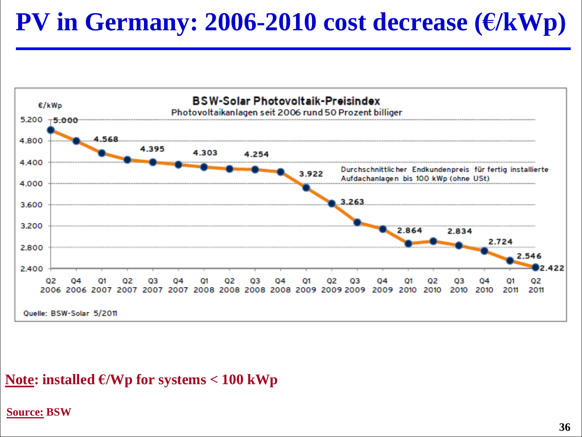## **PV in Germany: 2006-2010 cost decrease (€/kWp)**

![](_page_35_Figure_1.jpeg)

#### Note: installed  $\epsilon$ /Wp for systems  $< 100$  kWp

#### **Source: BSW**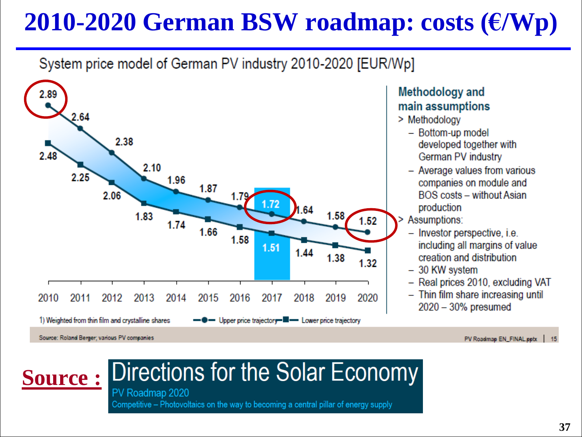## **2010-2020 German BSW roadmap: costs (€/Wp)**

#### System price model of German PV industry 2010-2020 [EUR/Wp]

![](_page_36_Figure_2.jpeg)

#### Methodology and main assumptions

> Methodology

- Bottom-up model developed together with German PV industry
- Average values from various companies on module and **BOS** costs - without Asian production

Assumptions:

- Investor perspective, i.e. including all margins of value creation and distribution
- 30 KW system
- Real prices 2010, excluding VAT
- Thin film share increasing until  $2020 - 30%$  presumed

#### Directions for the Solar Economy **Source :**

PV Roadmap 2020 Competitive – Photovoltaics on the way to becoming a central pillar of energy supply

PV Roadmap EN\_FINAL.pptx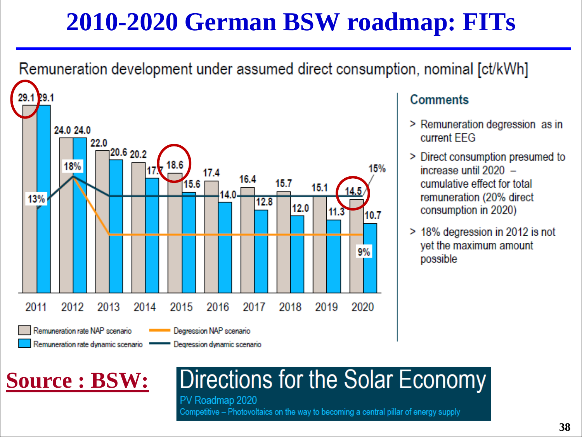# **2010-2020 German BSW roadmap: FITs**

Remuneration development under assumed direct consumption, nominal [ct/kWh]

![](_page_37_Figure_2.jpeg)

#### **Comments**

- > Remuneration degression as in current FFG
- > Direct consumption presumed to increase until 2020 cumulative effect for total remuneration (20% direct consumption in 2020)
- > 18% degression in 2012 is not yet the maximum amount possible

## **Source : BSW:**

# Directions for the Solar Economy

PV Roadmap 2020 Competitive – Photovoltaics on the way to becoming a central pillar of energy supply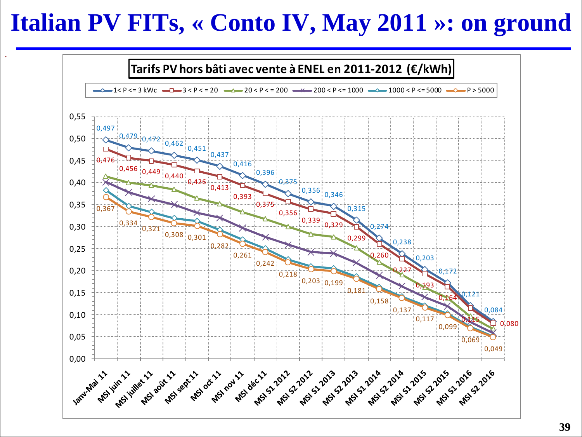## **Italian PV FITs, « Conto IV, May 2011 »: on ground**

**.**

![](_page_38_Figure_1.jpeg)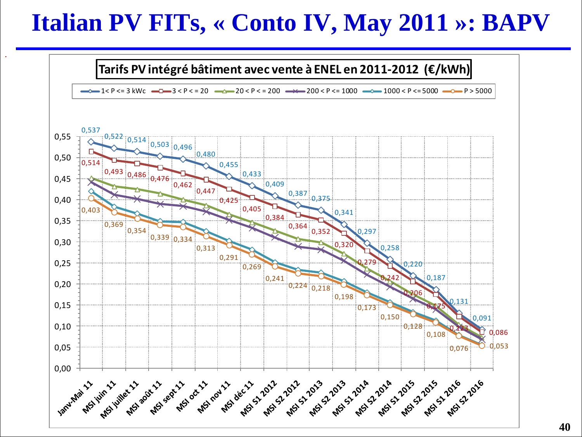## **Italian PV FITs, « Conto IV, May 2011 »: BAPV**

**.**

![](_page_39_Figure_1.jpeg)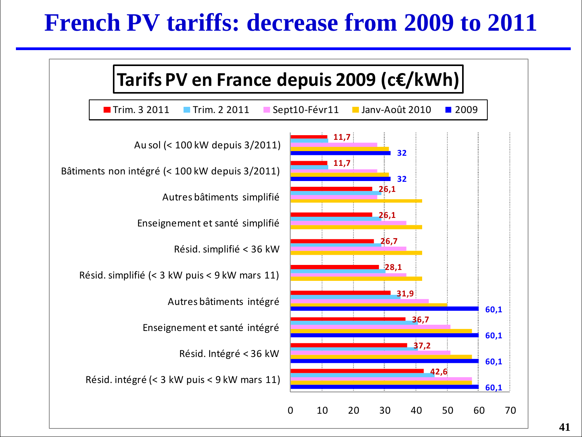## **French PV tariffs: decrease from 2009 to 2011**

![](_page_40_Figure_1.jpeg)